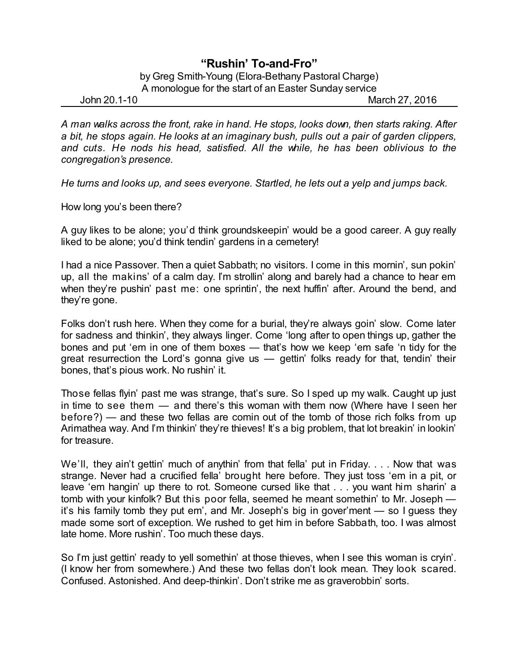## **"Rushin' To-and-Fro"**

## by Greg Smith-Young (Elora-Bethany Pastoral Charge) A monologue for the start of an Easter Sunday service

John 20.1-10 March 27, 2016

*A man walks across the front, rake in hand. He stops, looks down, then starts raking. After a bit, he stops again. He looks at an imaginary bush, pulls out a pair of garden clippers, and cuts. He nods his head, satisfied. All the while, he has been oblivious to the congregation's presence.*

*He turns and looks up, and sees everyone. Startled, he lets out a yelp and jumps back.*

How long you's been there?

A guy likes to be alone; you'd think groundskeepin' would be a good career. A guy really liked to be alone; you'd think tendin' gardens in a cemetery!

I had a nice Passover. Then a quiet Sabbath; no visitors. I come in this mornin', sun pokin' up, all the makins' of a calm day. I'm strollin' along and barely had a chance to hear em when they're pushin' past me: one sprintin', the next huffin' after. Around the bend, and they're gone.

Folks don't rush here. When they come for a burial, they're always goin' slow. Come later for sadness and thinkin', they always linger. Come 'long after to open things up, gather the bones and put 'em in one of them boxes — that's how we keep 'em safe 'n tidy for the great resurrection the Lord's gonna give us — gettin' folks ready for that, tendin' their bones, that's pious work. No rushin' it.

Those fellas flyin' past me was strange, that's sure. So I sped up my walk. Caught up just in time to see them — and there's this woman with them now (Where have I seen her before?) — and these two fellas are comin out of the tomb of those rich folks from up Arimathea way. And I'm thinkin' they're thieves! It's a big problem, that lot breakin' in lookin' for treasure.

We'll, they ain't gettin' much of anythin' from that fella' put in Friday. . . . Now that was strange. Never had a crucified fella' brought here before. They just toss 'em in a pit, or leave 'em hangin' up there to rot. Someone cursed like that . . . you want him sharin' a tomb with your kinfolk? But this poor fella, seemed he meant somethin' to Mr. Joseph it's his family tomb they put em', and Mr. Joseph's big in gover'ment — so I guess they made some sort of exception. We rushed to get him in before Sabbath, too. I was almost late home. More rushin'. Too much these days.

So I'm just gettin' ready to yell somethin' at those thieves, when I see this woman is cryin'. (I know her from somewhere.) And these two fellas don't look mean. They look scared. Confused. Astonished. And deep-thinkin'. Don't strike me as graverobbin' sorts.